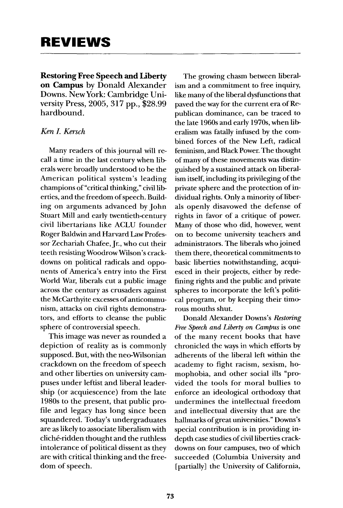**Restoring Free Speech and Liberty on Campus** by Donald Alexander Downs. NewYork: Cambridge University Press, 2005, 317 pp., \$28.99 hardbound.

## *Ken I. Kersch*

Many readers of this journal will recall a time in the last century when liberals were broadly understood to be the American political system's leading champions of "critical thinking," civil liberties, and the freedom of speech. Building on arguments advanced by John Stuart Mill and early twentieth-century civil libertarians like ACLU founder Roger Baldwin and Harvard Law Professor Zechariah Chafee, Jr., who cut their teeth resisting Woodrow Wilson's crackdowns on political radicals and opponents of America's entry into the First World War, liberals cut a public image across the century as crusaders against the McCarthyite excesses of anticommunism, attacks on civil rights demonstrators, and efforts to cleanse the public sphere of controversial speech.

This image was never as rounded a depiction of reality as is commonly supposed. But, with the neo-Wilsonian crackdown on the freedom of speech and other liberties on university campuses under leftist and liberal leadership (or acquiescence) from the late 1980s to the present, that public profile and legacy has long since been squandered. Today's undergraduates are as likely to associate liberalism with clich6-ridden thought and the ruthless intolerance of political dissent as they are with critical thinking and the freedom of speech.

The growing chasm between liberalism and a commitment to free inquiry, like many of the liberal dysfunctions that paved the way for the current era of Republican dominance, can be traced to the late 1960s and early 1970s, when liberalism was fatally infused by the combined forces of the New Left, radical feminism, and Black Power. The thought of many of these movements was distinguished by a sustained attack on liberalism itself, including its privileging of the private sphere and the protection of individual rights. Only a minority of liberals openly disavowed the defense of rights in favor of a critique of power. Many of those who did, however, went on to become university teachers and administrators. The liberals who joined them there, theoretical commitments to basic liberties notwithstanding, acquiesced in their projects, either by redefining rights and the public and private spheres to incorporate the left's political program, or by keeping their timorous mouths shut.

Donald Alexander Downs's *Restoring Free Speech and Liberty on Campus* is one of the many recent books that have chronicled the ways in which efforts by adherents of the liberal left within the academy to fight racism, sexism, homophobia, and other social ills "provided the tools for moral bullies to enforce an ideological orthodoxy that undermines the intellectual freedom and intellectual diversity that are the hallmarks of great universities." Downs's special contribution is in providing indepth case studies of civil liberties crackdowns on four campuses, two of which succeeded (Columbia University and [partially] the University of California,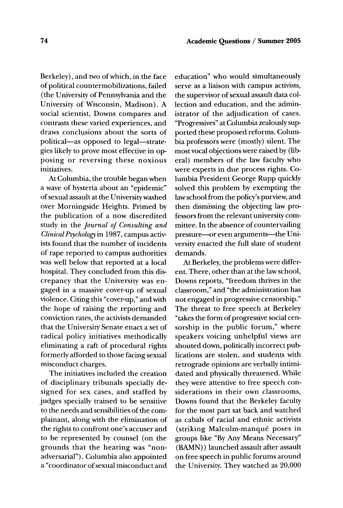Berkeley), and two of which, in the face of political countermobilizations, failed (the University of Pennsylvania and the University of Wisconsin, Madison). A social scientist, Downs compares and contrasts these varied experiences, and draws conclusions about the sorts of political-as opposed to legal-strategies likely to prove most effective in opposing or reversing these noxious initiatives.

At Columbia, the trouble began when a wave of hysteria about an "epidemic" of sexual assault at the University washed over Morningside Heights. Primed by the publication of a now discredited study in the *Journal of Consulting and ClinicaIPsychology* in 1987, campus activists found that the number of incidents of rape reported to campus authorities was well below that reported at a local hospital. They concluded from this discrepancy that the University was engaged in a massive cover-up of sexual violence. Citing this "cover-up," and with the hope of raising the reporting and conviction rates, the activists demanded that the University Senate enact a set of radical policy initiatives methodically eliminating a raft of procedural rights formerly afforded to those facing sexual misconduct charges.

The initiatives included the creation of disciplinary tribunals specially designed for sex cases, and staffed by judges specially trained to be sensitive to the needs and sensibilities of the complainant, along with the elimination of the rights to confront one's accuser and to be represented by counsel (on the grounds that the hearing was "nonadversarial"). Columbia also appointed a "coordinator of sexual misconduct and

education" who would simultaneously serve as a liaison with campus activists, the supervisor of sexual assault data collection and education, and the administrator of the adjudication of cases. "Progressives" at Columbia zealously supported these proposed reforms. Columbia professors were (mostly) silent. The most vocal objections were raised by (liberal) members of the law faculty who were experts in due process rights. Columbia President George Rupp quickly solved this problem by exempting the law school from the policy's purview, and then dismissing the objecting law professors from the relevant university committee. In the absence of countervailing pressure--or even arguments--the University enacted the full slate of student demands.

At Berkeley, the problems were different. There, other than at the law school, Downs reports, "freedom thrives in the classroom," and "the administration has not engaged in progressive censorship." The threat to free speech at Berkeley "takes the form of progressive social censorship in the public forum," where speakers voicing unhelpful views are shouted down, politically incorrect publications are stolen, and students with retrograde opinions are verbally intimidated and physically threatened. While they were attentive to free speech considerations in their own classrooms, Downs found that the Berkeley faculty for the most part sat back and watched as cabals of racial and ethnic activists (striking Malcolm-manqué poses in groups like "By Any Means Necessary" (BAMN)) launched assault after assault on free speech in public forums around the University. They watched as 20,000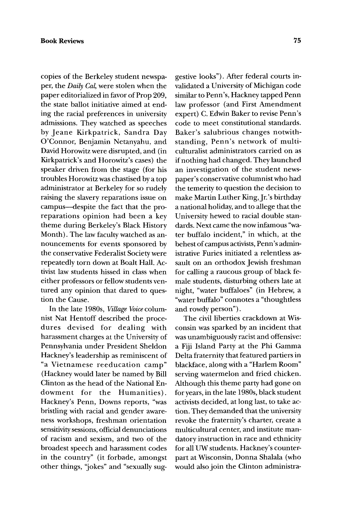copies of the Berkeley student newspaper, the *Daily Cal,* were stolen when the paper editorialized in favor of Prop 209, the state ballot initiative aimed at ending the racial preferences in university admissions. They watched as speeches by Jeane Kirkpatrick, Sandra Day O'Connor, Benjamin Netanyahu, and David Horowitz were disrupted, and (in Kirkpatrick's and Horowitz's cases) the speaker driven from the stage (for his troubles Horowitz was chastised by a top administrator at Berkeley for so rudely raising the slavery reparations issue on campus--despite the fact that the proreparations opinion had been a key theme during Berkeley's Black History Month). The law faculty watched as announcements for events sponsored by the conservative Federalist Society were repeatedly torn down at Boalt Hall. Activist law students hissed in class when either professors or fellow students ventured any opinion that dared to question the Cause.

In the late 1980s, *Village Voice* columnist Nat Hentoff described the procedures devised for dealing with harassment charges at the University of Pennsylvania under President Sheldon Hackney's leadership as reminiscent of "a Vietnamese reeducation camp" (Hackney would later be named by Bill Clinton as the head of the National Endowment for the Humanities). Hackney's Penn, Downs reports, "was bristling with racial and gender awareness workshops, freshman orientation sensitivity sessions, official denunciations of racism and sexism, and two of the broadest speech and harassment codes in the country" (it forbade, amongst other things, "jokes" and "sexually suggesfive looks"). After federal courts invalidated a University of Michigan code similar to Penn's, Hackney tapped Penn law professor (and First Amendment expert) C. Edwin Baker to revise Penn's code to meet constitutional standards. Baker's salubrious changes notwithstanding, Penn's network of multiculturalist administrators carried on as if nothing had changed. They launched an investigation of the student newspaper's conservative columnist who had the temerity to question the decision to make Martin Luther King, Jr.'s birthday a national holiday, and to allege that the University hewed to racial double standards. Next came the now infamous "water buffalo incident," in which, at the behest of campus activists, Penn's administrative Furies initiated a relentless assault on an orthodox Jewish freshman for calling a raucous group of black female students, disturbing others late at night, "water buffaloes" (in Hebrew, a "water buffalo" connotes a "thoughtless and rowdy person").

The civil liberties crackdown at Wisconsin was sparked by an incident that was unambiguously racist and offensive: a Fiji Island Party at the Phi Gamma Delta fraternity that featured partiers in blackface, along with a "Harlem Room" serving watermelon and fried chicken. Although this theme party had gone on for years, in the late 1980s, black student activists decided, at long last, to take action. They demanded that the university revoke the fraternity's charter, create a multicultural center, and institute mandatory instruction in race and ethnicity for all UW students. Hackney's counterpart at Wisconsin, Donna Shalala (who would also join the Clinton administra-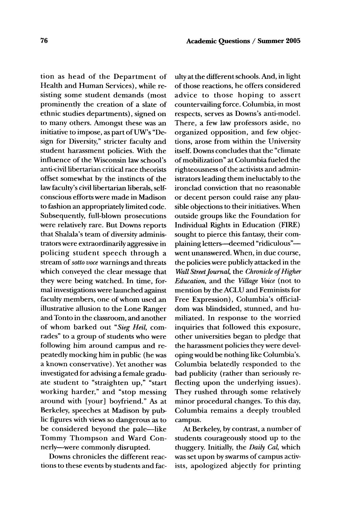tion as head of the Department of Health and Human Services), while resisting some student demands (most prominently the creation of a slate of ethnic studies departments), signed on to many others. Amongst these was an initiative to impose, as part of UW's "Design for Diversity," stricter faculty and student harassment policies. With the influence of the Wisconsin law school's anti-civil libertarian critical race theorists offset somewhat by the instincts of the law faculty's civil libertarian liberals, selfconscious efforts were made in Madison to fashion an appropriately limited code. Subsequently, full-blown prosecutions were relatively rare. But Downs reports that Shalala's team of diversity administrators were extraordinarily aggressive in policing student speech through a stream of *sotto voce* warnings and threats which conveyed the clear message that they were being watched. In time, formal investigations were launched against faculty members, one of whom used an illustrative allusion to the Lone Ranger and Tonto in the classroom, and another of whom barked out *"Sieg Heil,* comrades" to a group of students who were following him around campus and repeatedly mocking him in public (he was a known conservative). Yet another was investigated for advising a female graduate student to "straighten up," "start working harder," and "stop messing around with [your] boyfriend." As at Berkeley, speeches at Madison by public figures with views so dangerous as to be considered beyond the pale-like Tommy Thompson and Ward Connerly--were commonly disrupted.

Downs chronicles the different reactions to these events by students and faculty at the different schools. And, in light of those reactions, he offers considered advice to those hoping to assert countervailing force. Columbia, in most respects, serves as Downs's anti-model. There, a few law professors aside, no organized opposition, and few objections, arose from within the University itself. Downs concludes that the "climate of mobilization" at Columbia fueled the righteousness of the activists and administrators leading them ineluctably to the ironclad conviction that no reasonable or decent person could raise any plausible objections to their initiatives. When outside groups like the Foundation for Individual Rights in Education (FIRE) sought to pierce this fantasy, their complaining letters-deemed "ridiculous"went unanswered. When, in due course, the policies were publicly attacked in the *Wall Street Journal,* the *Chronicle of Higher Education,* and the *Village Voice* (not to mention by the ACLU and Feminists for Free Expression), Columbia's officialdom was blindsided, stunned, and humiliated. In response to the worried inquiries that followed this exposure, other universities began to pledge that the harassment policies they were developing would be nothing like Columbia's. Columbia belatedly responded to the bad publicity (rather than seriously reflecting upon the underlying issues). They rushed through some relatively minor procedural changes. To this day, Columbia remains a deeply troubled campus.

At Berkeley, by contrast, a number of students courageously stood up to the thuggery. Initially, the *Daily Cal,* which was set upon by swarms of campus activists, apologized abjectly for printing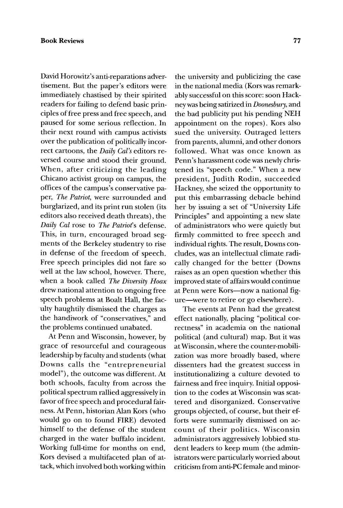David Horowitz's anti-reparations advertisement. But the paper's editors were immediately chastised by their spirited readers for failing to defend basic principles of free press and free speech, and paused for some serious reflection. In their next round with campus activists over the publication of politically incorrect cartoons, the *Daily Cal's* editors reversed course and stood their ground. When, after criticizing the leading Chicano activist group on campus, the offices of the campus's conservative paper, *The Patriot,* were surrounded and burglarized, and its print run stolen (its editors also received death threats), the *Daily Cal* rose to *The Patriot's* defense. This, in turn, encouraged broad segments of the Berkeley studentry to rise in defense of the freedom of speech. Free speech principles did not fare so well at the law school, however. There, when a book called *The Diversity Hoax*  drew national attention to ongoing free speech problems at Boalt Hall, the faculty haughtily dismissed the charges as the handiwork of "conservatives," and the problems continued unabated.

At Penn and Wisconsin, however, by grace of resourceful and courageous leadership by faculty and students (what Downs calls the "entrepreneurial model"), the outcome was different. At both schools, faculty from across the political spectrum rallied aggressively in favor of free speech and procedural fairness. At Penn, historian Alan Kors (who would go on to found FIRE) devoted himself to the defense of the student charged in the water buffalo incident. Working full-time for months on end, Kors devised a multifaceted plan of attack, which involved both working within

the university and publicizing the case in the national media (Kors was remarkably successful on this score: soon Hackney was being satirized in *Doonesbury,* and the bad publicity put his pending NEH appointment on the ropes). Kors also sued the university. Outraged letters from parents, alumni, and other donors followed. What was once known as Penn's harassment code was newly christened its "speech code." When a new president, Judith Rodin, succeeded Hackney, she seized the opportunity to put this embarrassing debacle behind her by issuing a set of "University Life Principles" and appointing a new slate of administrators who were quietly but firmly committed to free speech and individual rights. The result, Downs concludes, was an intellectual climate radically changed for the better (Downs raises as an open question whether this improved state of affairs would continue at Penn were Kors-now a national figure--were to retire or go elsewhere).

The events at Penn had the greatest effect nationally, placing "political correctness" in academia on the national political (and cultural) map. But it was at Wisconsin, where the counter-mobilization was more broadly based, where dissenters had the greatest success in institutionalizing a culture devoted to fairness and free inquiry. Initial opposition to the codes at Wisconsin was scattered and disorganized. Conservative groups objected, of course, but their efforts were summarily dismissed on account of their politics. Wisconsin administrators aggressively lobbied student leaders to keep mum (the administrators were particularly worried about criticism from anti-PC female and minor-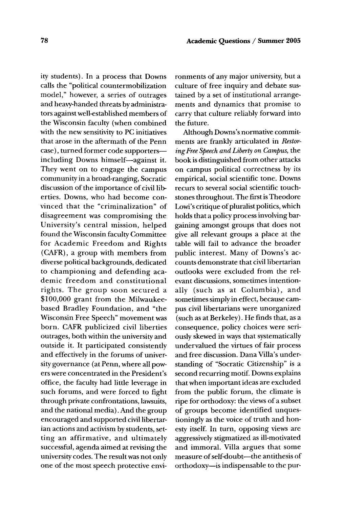ity students). In a process that Downs calls the "political countermobilization model," however, a series of outrages and heavy-handed threats by administrators against well-established members of the Wisconsin faculty (when combined with the new sensitivity to PC initiatives that arose in the aftermath of the Penn case), turned former code supportersincluding Downs himself--against it. They went on to engage the campus community in a broad-ranging, Socratic discussion of the importance of civil liberties. Downs, who had become convinced that the "criminalization" of disagreement was compromising the University's central mission, helped found the Wisconsin faculty Committee for Academic Freedom and Rights (CAFR), a group with members from diverse political backgrounds, dedicated to championing and defending academic freedom and constitutional rights. The group soon secured a \$100,000 grant from the Milwaukeebased Bradley Foundation, and "the Wisconsin Free Speech" movement was born. CAFR publicized civil liberties outrages, both within the university and outside it. It participated consistently and effectively in the forums of university governance (at Penn, where all powers were concentrated in the President's office, the faculty had little leverage in such forums, and were forced to fight through private confrontations, lawsuits, and the national media). And the group encouraged and supported civil libertarian actions and activism by students, setting an affirmative, and ultimately successful, agenda aimed at revising the university codes. The result was not only one of the most speech protective environments of any major university, but a culture of free inquiry and debate sustained by a set of institutional arrangements and dynamics that promise to carry that culture reliably forward into the future.

Although Downs's normative commitments are frankly articulated in *Restoring Free Speech and Liberty on Campus,* the book is distinguished from other attacks on campus political correctness by its empirical, social scientific tone. Downs recurs to several social scientific touchstones throughout. The first is Theodore Lowi's critique of pluralist politics, which holds that a policy process involving bargaining amongst groups that does not give all relevant groups a place at the table will fail to advance the broader public interest. Many of Downs's accounts demonstrate that civil libertarian oudooks were excluded from the relevant discussions, sometimes intentionally (such as at Columbia), and sometimes simply in effect, because campus civil libertarians were unorganized (such as at Berkeley). He finds that, as a consequence, policy choices were seriously skewed in ways that systematically undervalued the virtues of fair process and free discussion. Dana Villa's understanding of "Socratic Citizenship" is a second recurring motif. Downs explains that when important ideas are excluded from the public forum, the climate is ripe for orthodoxy: the views of a subset of groups become identified unquestioningly as the voice of truth and honesty itself. In turn, opposing views are aggressively stigmatized as ill-motivated and immoral. Villa argues that some measure of self-doubt--the antithesis of orthodoxy-is indispensable to the pur-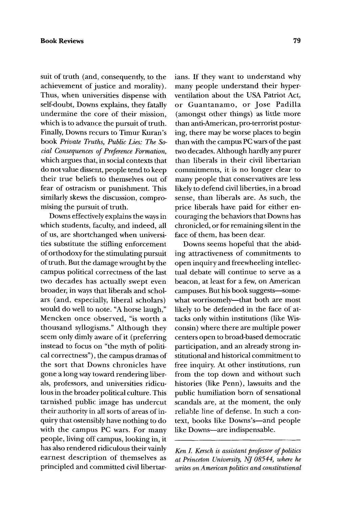suit of truth (and, consequently, to the achievement of justice and morality). Thus, when universities dispense with self-doubt, Downs explains, they fatally undermine the core of their mission, which is to advance the pursuit of truth. Finally, Downs recurs to Timur Kuran's book *Private Truths, Public Lies: The Social Consequences of Preference Formation,*  which argues that, in social contexts that do not value dissent, people tend to keep their true beliefs to themselves out of fear of ostracism or punishment. This similarly skews the discussion, compromising the pursuit of truth.

Downs effectively explains the ways in which students, faculty, and indeed, all of us, are shortchanged when universities substitute the stifling enforcement of orthodoxy for the stimulating pursuit of truth. But the damage wrought by the campus political correctness of the last two decades has actually swept even broader, in ways that liberals and scholars (and, especially, liberal scholars) would do well to note. "A horse laugh," Mencken once observed, "is worth a thousand syllogisms." Although they seem only dimly aware of it (preferring instead to focus on "the myth of political correctness"), the campus dramas of the sort that Downs chronicles have gone a long way toward rendering liberals, professors, and universities ridiculous in the broader political culture. This tarnished public image has undercut their authority in all sorts of areas of inquiry that ostensibly have nothing to do with the campus PC wars. For many people, living off campus, looking in, it has also rendered ridiculous their vainly earnest description of themselves as principled and committed civil libertarians. If they want to understand why many people understand their hyperventilation about the USA Patriot Act, or Guantanamo, or Jose Padilla (amongst other things) as little more than anti-American, pro-terrorist posturing, there may be worse places to begin than with the campus PC wars of the past two decades. Although hardly any purer than liberals in their civil libertarian commitments, it is no longer clear to many people that conservatives are less likely to defend civil liberties, in a broad sense, than liberals are. As such, the price liberals have paid for either encouraging the behaviors that Downs has chronicled, or for remaining silent in the face of them, has been dear.

Downs seems hopeful that the abiding attractiveness of commitments to open inquiry and freewheeling intellectual debate will continue to serve as a beacon, at least for a few, on American campuses. But his book suggests-somewhat worrisomely-that both are most likely to be defended in the face of attacks only within institutions (like Wisconsin) where there are multiple power centers open to broad-based democratic participation, and an already strong institutional and historical commitment to free inquiry. At other institutions, run from the top down and without such histories (like Penn), lawsuits and the public humiliation born of sensational scandals are, at the moment, the only reliable line of defense. In such a context, books like Downs's-and people like Downs--are indispensable.

*Ken L Kersch is assistant professor of politics at Princeton University, NJ 08544, where he writes on American politics and constitutional*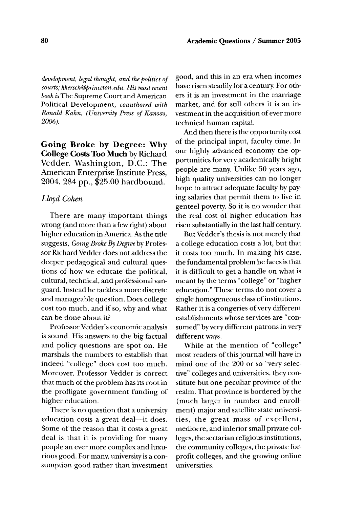*development, legal thought, and the politics of courts; kkersch@princeton, edu. His most recent book is* The Supreme Court and American Political Development, *coauthored with Ronald Kahn, (University Press of Kansas, 2006).* 

**Going Broke by Degree: Why College Costs** Too Much by Richard Vedder. Washington, D.C.: The American Enterprise Institute Press, 2004, 284 pp., \$25.00 hardbound.

## *Lloyd Cohen*

There are many important things wrong (and more than a few right) about higher education in America. As the title suggests, *Going Broke By Degree* by Professor Richard Vedder does not address the deeper pedagogical and cultural questions of how we educate the political, cultural, technical, and professional vanguard. Instead he tackles a more discrete and manageable question. Does college cost too much, and if so, why and what can be done about it?

Professor Vedder's economic analysis is sound. His answers to the big factual and policy questions are spot on. He marshals the numbers to establish that indeed "college" does cost too much. Moreover, Professor Vedder is correct that much of the problem has its root in the profligate government funding of higher education.

There is no question that a university education costs a great deal--it does. Some of the reason that it costs a great deal is that it is providing for many people an ever more complex and luxurious good. For many, university is a consumption good rather than investment

good, and this in an era when incomes have risen steadily for a century. For others it is an investment in the marriage market, and for still others it is an investment in the acquisition of ever more technical human capital.

And then there is the opportunity cost of the principal input, faculty time. In our highly advanced economy the opportunities for very academically bright people are many. Unlike 50 years ago, high quality universities can no longer hope to attract adequate faculty by paying salaries that permit them to live in genteel poverty. So it is no wonder that the real cost of higher education has risen substantially in the last half century.

But Vedder's thesis is not merely that a college education costs a lot, but that it costs too much. In making his case, the fundamental problem he faces is that it is difficult to get a handle on what is meant by the terms "college" or "higher education." These terms do not cover a single homogeneous class of institutions. Rather it is a congeries of very different establishments whose services are "consumed" by very different patrons in very different ways.

While at the mention of "college" most readers of this journal will have in mind one of the 200 or so "very selective" colleges and universities, they constitute but one peculiar province of the realm. That province is bordered by the (much larger in number and enrollment) major and satellite state universities, the great mass of excellent, mediocre, and inferior small private colleges, the sectarian religious institutions, the community colleges, the private forprofit colleges, and the growing online universities.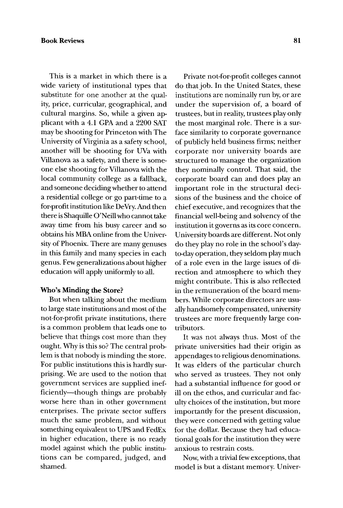This is a market in which there is a wide variety of institutional types that substitute for one another at the quality, price, curricular, geographical, and cultural margins. So, while a given applicant with a 4.1 GPA and a 2200 SAT may be shooting for Princeton with The University of Virginia as a safety school, another will be shooting for UVa with Villanova as a safety, and there is someone else shooting for Villanova with the local community college as a fallback, and someone deciding whether to attend a residential college or go part-time to a for-profit institution like DeVry. And then there is Shaquille O'Neill who cannot take away time from his busy career and so obtains his MBA online from the University of Phoenix. There are many genuses in this family and many species in each genus. Few generalizations about higher education will apply uniformly to all.

## **Who's Minding the Store?**

But when talking about the medium to large state institutions and most of the not-for-profit private institutions, there is a common problem that leads one to believe that things cost more than they ought. Why is this so? The central problem is that nobody is minding the store. For public institutions this is hardly surprising. We are used to the notion that government services are supplied inefficiently-though things are probably worse here than in other government enterprises. The private sector suffers much the same problem, and without something equivalent to UPS and FedEx in higher education, there is no ready model against which the public institutions can be compared, judged, and shamed.

Private not-for-profit colleges cannot do that job. In the United States, these institutions are nominally run by, or are under the supervision of, a board of trustees, but in reality, trustees play only the most marginal role. There is a surface similarity to corporate governance of publicly held business firms; neither corporate nor university boards are structured to manage the organization they nominally control. That said, the corporate board can and does play an important role in the structural decisions of the business and the choice of chief executive, and recognizes that the financial well-being and solvency of the institution it governs as its core concern. University boards are different. Not only do they play no role in the school's dayto-day operation, they seldom play much of a role even in the large issues of direction and atmosphere to which they might contribute. This is also reflected in the remuneration of the board members. While corporate directors are usually handsomely compensated, university trustees are more frequently large contributors.

It was not always thus. Most of the private universities had their origin as appendages to religious denominations. It was elders of the particular church who served as trustees. They not only had a substantial influence for good or ill on the ethos, and curricular and faculty choices of the institution, but more importandy for the present discussion, they were concerned with getting value for the dollar. Because they had educational goals for the institution they were anxious to restrain costs.

Now, with a trivial few exceptions, that model is but a distant memory. Univer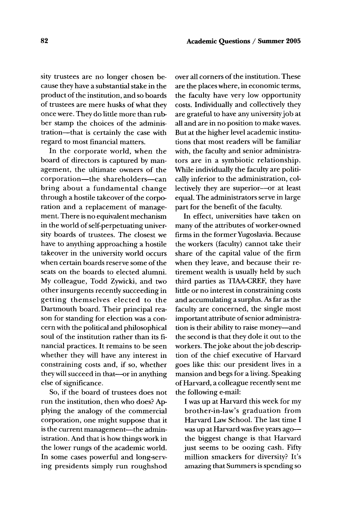sity trustees are no longer chosen because they have a substantial stake in the product of the institution, and so boards of trustees are mere husks of what they once were. They do little more than rubber stamp the choices of the administration-that is certainly the case with regard to most financial matters.

In the corporate world, when the board of directors is captured by management, the ultimate owners of the corporation-the shareholders-can bring about a fundamental change through a hostile takeover of the corporation and a replacement of management. There is no equivalent mechanism in the world of self-perpetuating university boards of trustees. The closest we have to anything approaching a hostile takeover in the university world occurs when certain boards reserve some of the seats on the boards to elected alumni. My colleague, Todd Zywicki, and two other insurgents recently succeeding in getting themselves elected to the Dartmouth board. Their principal reason for standing for election was a concern with the political and philosophical soul of the institution rather than its financial practices. It remains to be seen whether they will have any interest in constraining costs and, if so, whether they will succeed in that---or in anything else of significance.

So, if the board of trustees does not run the institution, then who does? Applying the analogy of the commercial corporation, one might suppose that it is the current management-the administration. And that is how things work in the lower rungs of the academic world. In some cases powerful and long-serving presidents simply run roughshod over all corners of the institution. These are the places where, in economic terms, the faculty have very low opportunity costs. Individually and collectively they are grateful to have any university job at all and are in no position to make waves. But at the higher level academic institutions that most readers will be familiar with, the faculty and senior administrators are in a symbiotic relationship. While individually the faculty are politically inferior to the administration, collectively they are superior--or at least equal. The administrators serve in large part for the benefit of the faculty.

In effect, universities have taken on many of the attributes of worker-owned firms in the former Yugoslavia. Because the workers (faculty) cannot take their share of the capital value of the firm when they leave, and because their retirement wealth is usually held by such third parties as TIAA-CREF, they have little or no interest in constraining costs and accumulating a surplus. As far as the faculty are concerned, the single most important attribute of senior administration is their ability to raise money--and the second is that they dole it out to the workers. The joke about the job description of the chief executive of Harvard goes like this: our president lives in a mansion and begs for a living. Speaking of Harvard, a colleague recently sent me the following e-mail:

I was up at Harvard this week for my brother-in-law's graduation from Harvard Law School. The last time I was up at Harvard was five years ago-the biggest change is that Harvard just seems to be oozing cash. Fifty million smackers for diversity? It's amazing that Summers is spending so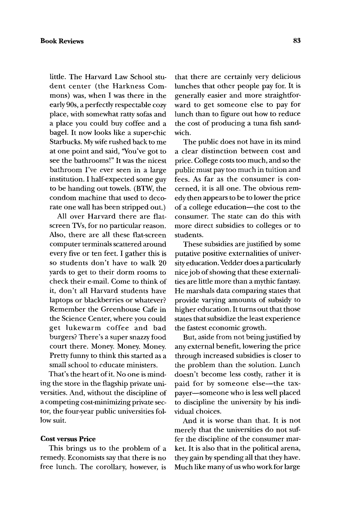litde. The Harvard Law School student center (the Harkness Commons) was, when I was there in the early 90s, a perfectly respectable cozy place, with somewhat ratty sofas and a place you could buy coffee and a bagel. It now looks like a super-chic Starbucks. My wife rushed back to me at one point and said, "You've got to see the bathrooms!" It was the nicest bathroom I've ever seen in a large institution. I half-expected some guy to be handing out towels. (BTW, the condom machine that used to decorate one wall has been stripped out.)

All over Harvard there are flatscreen TVs, for no particular reason. Also, there are all these flat-screen computer terminals scattered around every five or ten feet. I gather this is so students don't have to walk 20 yards to get to their dorm rooms to check their e-mail. Come to think of it, don't all Harvard students have laptops or blackberries or whatever? Remember the Greenhouse Cafe in the Science Center, where you could get lukewarm coffee and bad burgers? There's a super snazzy food court there. Money. Money. Money, Pretty funny to think this started as a small school to educate ministers.

That's the heart of it. No one is minding the store in the flagship private universities. And, without the discipline of a competing cost-minimizing private sector, the four-year public universities follow suit.

## **Cost versus Price**

This brings us to the problem of a remedy. Economists say that there is no free lunch. The corollary, however, is

that there are certainly very delicious lunches that other people pay for. It is generally easier and more straightforward to get someone else to pay for lunch than to figure out how to reduce the cost of producing a tuna fish sandwich.

The public does not have in its mind a clear distinction between cost and price. College costs too much, and so the public must pay too much in tuition and fees. As far as the consumer is concerned, it is all one. The obvious remedy then appears to be to lower the price of a college education--the cost to the consumer. The state can do this with more direct subsidies to colleges or to students.

These subsidies are justified by some putative positive externalities of university education. Vedder does a particularly nice job of showing that these externalities are little more than a mythic fantasy. He marshals data comparing states that provide varying amounts of subsidy to higher education. It turns out that those states that subsidize the least experience the fastest economic growth.

But, aside from not being justified by any external benefit, lowering the price through increased subsidies is closer to the problem than the solution. Lunch doesn't become less costly, rather it is paid for by someone else--the taxpayer--someone who is less well placed to discipline the university by his individual choices.

And it is worse than that. It is not merely that the universities do not suffer the discipline of the consumer market. It is also that in the political arena, they gain by spending all that they have. Much like many of us who work for large